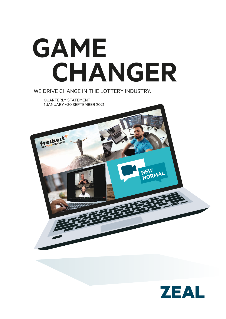# **GAME CHANGER**

WE DRIVE CHANGE IN THE LOTTERY INDUSTRY.

QUARTERLY STATEMENT 1 JANUARY– 30 SEPTEMBER 2021



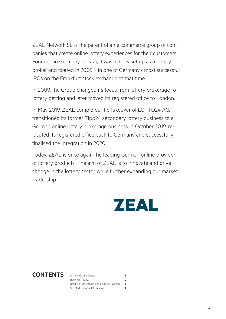ZEAL Network SE is the parent of an e-commerce group of companies that create online lottery experiences for their customers. Founded in Germany in 1999, it was initially set up as a lottery broker and floated in 2005 – in one of Germany's most successful IPOs on the Frankfurt stock exchange at that time.

In 2009, the Group changed its focus from lottery brokerage to lottery betting and later moved its registered office to London.

In May 2019, ZEAL completed the takeover of LOTTO24 AG, transitioned its former Tipp24 secondary lottery business to a German online lottery brokerage business in October 2019, relocated its registered office back to Germany and successfully finalised the integration in 2020.

Today, ZEAL is once again the leading German online provider of lottery products. The aim of ZEAL is to innovate and drive change in the lottery sector while further expanding our market leadership.



**CONTENTS** Q1–3 2021 at a Glance **3**<br>Business Review **4** Business Review **4** Results of Operations and Financial Position **6** Selected Financial Information **9**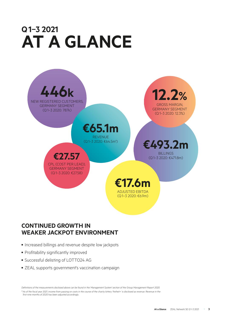# **Q1–3 2021 AT A GLANCE**



### **CONTINUED GROWTH IN WEAKER JACKPOT ENVIRONMENT**

- Increased billings and revenue despite low jackpots
- Profitability significantly improved
- Successful delisting of LOTTO24 AG
- ZEAL supports government's vaccination campaign

*Definitions of the measurements disclosed above can be found in the 'Management System' section of the Group Management Report 2020. ¹ As of the fiscal year 2021, income from passing on costs in the course of the charity lottery 'freiheit+' is disclosed as revenue. Revenue in the first nine months of 2020 has been adjusted accordingly.*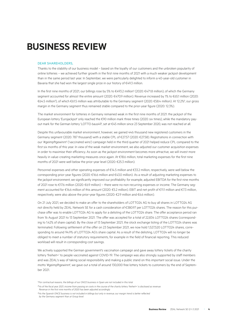# **BUSINESS REVIEW**

#### DEAR SHAREHOLDERS,

Thanks to the stability of our business model – based on the loyalty of our customers and the unbroken popularity of online lotteries – we achieved further growth in the first nine months of 2021 with a much weaker jackpot development than in the same period last year. In September, we were particularly delighted to inform a 40-year-old customer in Bavaria that she had won the largest single prize in our history of  $€49.3$  million.

In the first nine months of 2021, our billings rose by 5% to €493.2 million<sup>1</sup> (2020: €471.8 million), of which the Germany segment accounted for almost the entire amount (2020: €470.9 million). Revenue increased by 1% to €65.1 million (2020: €64.5 million²), of which €61.5 million was attributable to the Germany segment (2020: €58.4 million). At 12.2%³, our gross margin in the Germany segment thus remained stable compared to the prior-year figure (2020: 12.3%).

The market environment for lotteries in Germany remained weak in the first nine months of 2021: the jackpot of the European lottery 'Eurojackpot' only reached the €90 million mark three times (2020: six times), while the mandatory payout mark for the German lottery 'LOTTO 6aus49', set at €45 million since 23 September 2020, was not reached at all.

Despite this unfavourable market environment, however, we gained 446 thousand new registered customers in the Germany segment (2020: 787 thousand) with a stable CPL of €27.57 (2020: €27.58). Registrations in connection with our '#geimpftgewinnt' ('vaccinated wins') campaign held in the third quarter of 2021 helped reduce CPL compared to the first six months of this year. In view of the weak market environment, we also adjusted our customer acquisition expenses in order to maximise their efficiency. As soon as the jackpot environment becomes more attractive, we will invest more heavily in value-creating marketing measures once again. At €18.6 million, total marketing expenses for the first nine months of 2021 were well below the prior-year level (2020: €25.3 million).

Personnel expenses and other operating expenses of €14.5 million and €33.2 million, respectively, were well below the corresponding prior-year figures (2020: €16.6 million and €43.0 million). As a result of adjusting marketing expenses to the jackpot environment, we significantly improved our profitability: for example, adjusted EBITDA for the first nine months of 2021 rose to €17.6 million (2020: €6.9 million) – there were no non-recurring expenses or income. The Germany segment accounted for €16.6 million of this amount (2020: €5.2 million). EBIT and net profit of €11.1 million and €7.3 million, respectively, were also above the prior-year figures (2020: €2.9 million and €6.6 million).

On 21 July 2021, we decided to make an offer to the shareholders of LOTTO24 AG to buy all shares in LOTTO24 AG not directly held by ZEAL Network SE for a cash consideration of €380.97 per LOTTO24 shares. The reason for this purchase offer was to enable LOTTO24 AG to apply for a delisting of the LOTTO24 share. The offer acceptance period ran from 16 August 2021 to 13 September 2021. The offer was accepted for a total of 22,834 LOTTO24 shares (corresponding to 1.42% of share capital). By the close of 13 September 2021, the stock exchange listing of the LOTTO24 shares was terminated. Following settlement of the offer on 23 September 2021, we now hold 1,527,520 LOTTO24 shares, corresponding to around 94.9% of LOTTO24 AG's share capital. As a result of the delisting, LOTTO24 will no longer be obliged to meet a number of statutory requirements, for example in the field of financial reporting. This reduced workload will result in corresponding cost savings.

We actively supported the German government's vaccination campaign and gave away lottery tickets of the charity lottery 'freiheit+' to people vaccinated against COVID-19. The campaign was also strongly supported by staff members and was ZEAL's way of taking social responsibility and making a public stand on this important social issue. Under the motto '#geimpftgewinnt', we gave out a total of around 130,000 free lottery tickets to customers by the end of September 2021.

- *² As of the fiscal year 2021, income from passing on costs in the course of the charity lottery 'freiheit+' is disclosed as revenue. Revenue in the first nine months of 2020 has been adjusted accordingly.*
- *³ As the Spanish ONCE business is not included in billings but only in revenue, our margin trend is better reflected by the Germany segment than at Group level.*

<sup>&</sup>lt;sup>1</sup> For contractual reasons, the billings of our ONCE business in Spain are not included in this total.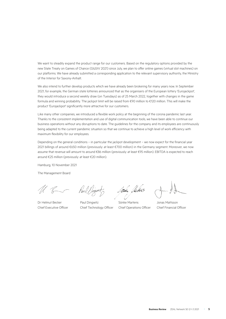We want to steadily expand the product range for our customers. Based on the regulatory options provided by the new State Treaty on Games of Chance (GlüStV 2021) since July, we plan to offer online games (virtual slot machines) on our platforms. We have already submitted a corresponding application to the relevant supervisory authority, the Ministry of the Interior for Saxony-Anhalt.

We also intend to further develop products which we have already been brokering for many years now. In September 2021, for example, the German state lotteries announced that as the organisers of the European lottery 'Eurojackpot', they would introduce a second weekly draw (on Tuesdays) as of 25 March 2022, together with changes in the game formula and winning probability. The jackpot limit will be raised from €90 million to €120 million. This will make the product 'Eurojackpot' significantly more attractive for our customers.

Like many other companies, we introduced a flexible work policy at the beginning of the corona pandemic last year. Thanks to the consistent implementation and use of digital communication tools, we have been able to continue our business operations without any disruptions to date. The guidelines for the company and its employees are continuously being adapted to the current pandemic situation so that we continue to achieve a high level of work efficiency with maximum flexibility for our employees.

Depending on the general conditions – in particular the jackpot development – we now expect for the financial year 2021 billings of around €650 million (previously: at least €700 million) in the Germany segment. Moreover, we now assume that revenue will amount to around €86 million (previously: at least €95 million). EBITDA is expected to reach around €25 million (previously: at least €20 million).

Hamburg, 10 November 2021

The Management Board

Chief Executive Officer Chief Technology Officer Chief Operations Officer Chief Financial Officer

Paul

I<del>sa</del>n Herlins

Dr Helmut Becker **Paul Dingwitz** Sönke Martens Jonas Mattsson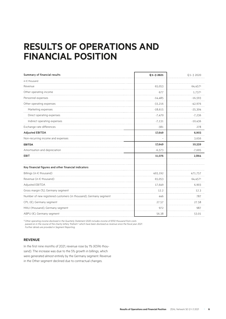## **RESULTS OF OPERATIONS AND FINANCIAL POSITION**

| Summary of financial results                                      | $Q$ 1-3 2021 | $Q$ 1-3 2020 |  |
|-------------------------------------------------------------------|--------------|--------------|--|
| in $\epsilon$ thousand                                            |              |              |  |
| Revenue<br>.                                                      | 65,053       | 64,4571      |  |
| Other operating income                                            | 677          | 1,7371       |  |
| Personnel expenses                                                | $-14,485$    | $-16,593$    |  |
| Other operating expenses                                          | $-33,216$    | $-42,976$    |  |
| Marketing expenses                                                | $-18,615$    | $-25,304$    |  |
| Direct operating expenses                                         | $-7,470$     | $-7,236$     |  |
| Indirect operating expenses                                       | $-7,131$     | $-10,436$    |  |
| Exchange rate differences                                         | $-381$       | 278          |  |
| <b>Adjusted EBITDA</b>                                            | 17,649       | 6,903        |  |
| Non-recurring income and expenses                                 |              | 3,656        |  |
| <b>EBITDA</b>                                                     | 17,649       | 10,559       |  |
| Amortisation and depreciation                                     | $-6,573$     | $-7,695$     |  |
| <b>EBIT</b>                                                       | 11,076       | 2,864        |  |
| Key financial figures and other financial indicators              |              |              |  |
| Billings (in € thousand)                                          | 493,192      | 471,757      |  |
| Revenue (in € thousand)                                           | 65,053       | 64,4571      |  |
| Adjusted EBITDA                                                   | 17,649       | 6,903        |  |
| Gross margin (%), Germany segment                                 | 12.2         | 12.3         |  |
| Number of new registered customers (in thousand), Germany segment | 446          | 787          |  |
| CPL (€), Germany segment                                          | 27.57        | 27.58        |  |
| MAU (thousand), Germany segment                                   | 972          | 987          |  |
| ABPU (€), Germany segment                                         | 56.38        | 53.01        |  |

*¹ Other operating income disclosed in the Quarterly Statement 2020 includes income of €592 thousand from costs* 

*passed on in the course of the charity lottery 'freiheit+' which have been disclosed as revenue since the fiscal year 2021. Further details are provided in Segment Reporting.*

#### **REVENUE**

In the first nine months of 2021, revenue rose by 1% (€596 thousand). The increase was due to the 5% growth in billings, which were generated almost entirely by the Germany segment. Revenue in the Other segment declined due to contractual changes.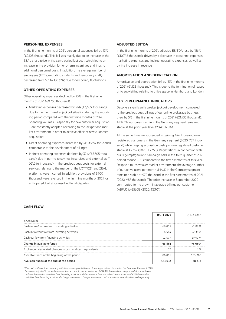#### **PERSONNEL EXPENSES**

In the first nine months of 2021, personnel expenses fell by 13% (€2,108 thousand). This fall was mainly due to an increase in the ZEAL share price in the same period last year, which led to an increase in the provision for long-term incentives and thus to additional personnel costs. In addition, the average number of employees (FTEs, excluding students and temporary staff) decreased from 161 to 158 (2%) due to temporary fluctuations.

#### **OTHER OPERATING EXPENSES**

Other operating expenses declined by 23% in the first nine months of 2021 (€9,760 thousand):

- Marketing expenses decreased by 26% (€6,689 thousand) due to the much weaker jackpot situation during the reporting period compared with the first nine months of 2020. Spending volumes – especially for new customer acquisition – are constantly adapted according to the jackpot and market environment in order to achieve efficient new customer acquisition;
- Direct operating expenses increased by 3% (€234 thousand), comparable to the development of billings;
- Indirect operating expenses declined by 32% (€3,305 thousand), due in part to to savings in services and external staff (€1,646 thousand). In the previous year, costs for external services relating to the merger of the LOTTO24 and ZEAL platforms were incurred. In addition, provisions of €900 thousand were reversed in the first nine months of 2021 for anticipated, but since resolved legal disputes.

#### **ADJUSTED EBITDA**

In the first nine months of 2021, adjusted EBITDA rose by 156% (€10,746 thousand), driven by a decrease in personnel expenses, marketing expenses and indirect operating expenses, as well as by the increase in revenue.

#### **AMORTISATION AND DEPRECIATION**

Amortisation and depreciation fell by 15% in the first nine months of 2021 (€1,122 thousand). This is due to the termination of leases or to sub-letting relating to office space in Hamburg and London.

#### **KEY PERFORMANCE INDICATORS**

Despite a significantly weaker jackpot development compared to the previous year, billings of our online brokerage business grew by 5% in the first nine months of 2021 (€21,435 thousand). At 12.2%, our gross margin in the Germany segment remained stable at the prior-year level (2020: 12.3%).

At the same time, we succeeded in gaining 446 thousand new registered customers in the Germany segment (2020: 787 thousand) while keeping acquisition costs per new registered customer stable at €27.57 (2020: €27.58). Registrations in connection with our '#geimpftgewinnt' campaign held in the third quarter of 2021 helped reduce CPL compared to the first six months of this year. Despite a much weaker market environment, the average number of our active users per month (MAU) in the Germany segment remained stable at 972 thousand in the first nine months of 2021 (2020: 987 thousand). The price increase in September 2020 contributed to the growth in average billings per customer (ABPU) to €56.38 (2020: €53.01).

#### **CASH FLOW**

|                                                            | 01-32021  | () 1–3 2020 |
|------------------------------------------------------------|-----------|-------------|
| in $\epsilon$ thousand                                     |           |             |
| Cash inflow/outflow from operating activities              | 68.005    | -28231      |
| Cash inflow/outflow from investing activities              | $-8.564$  | $-52.3191$  |
| Cash outflow from financing activities                     | $-12.577$ | $-19.917$   |
| Change in available funds                                  | 46.863    |             |
| Exchange rate-related changes in cash and cash equivalents | 107       |             |
| Available funds at the beginning of the period             | 86.061    | 153 280     |
| Available funds at the end of the period                   | 133.032   |             |

*¹ The cash outflows from operating activities, investing activities and financing activities disclosed in the Quarterly Statement 2020 have been adjusted to show the payment on account to the tax authority of €54,316 thousand and the proceeds from subleases of €464 thousand as cash flow from investing activities and the proceeds from the sale of treasury shares of €159 thousand as cash flow from financing activities. Exchange rate-related changes in cash and cash equivalents were also disclosed separately.*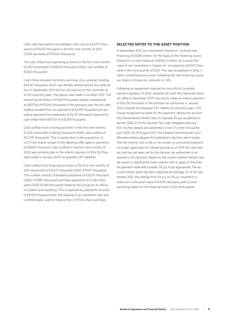Cash, cash equivalents and pledged cash rose by €46,971 thousand to €133,032 thousand in the first nine months of 2021 (2020: decrease of €75,042 thousand).

The cash inflow from operating activities in the first nine months of 2021 amounted to €68,005 thousand (2020: cash outflow of €2,823 thousand).

Cash inflow includes the lottery winnings of a customer totalling €49,327 thousand, which was already reimbursed by the state lottery in September 2021 but not yet paid out to the customer as of the reporting date. The payout was made in October 2021. The remaining net inflow of €18,678 thousand largely corresponds to EBITDA of €17,649 thousand. In the previous year, the net cash outflow resulted from tax payments of €6,357 thousand and severance payments for employees of €4,311 thousand, opposed by cash inflow from EBITDA of €10,559 thousand.

Cash outflow from investing activities in the first nine months of 2021 amounted to €8,564 thousand (2020: cash outflow of €52,319 thousand). This is mainly due to the acquisition of LOTTO24 shares as part of the delisting offer against payments of €8,699 thousand. Cash outflow in the first nine months of 2020 was primarily due to the interim payment of €54,316 thousand made in January 2020 on possible VAT liabilities.

Cash outflow from financing activities in the first nine months of 2021 amounted to €12,577 thousand (2020: €19,917 thousand). This outflow consists of dividend payments of €20,131 thousand (2020: €17,887 thousand) and lease payments of €1,284 thousand (2020: €2,189 thousand) made by the Group for its offices in London and Hamburg. This is opposed by payments received of €8,700 thousand from the drawing of an instalment loan with Commerzbank, used to finance the LOTTO24 share purchase.

#### **SELECTED NOTES TO THE ASSET POSITION**

In September 2021, our investment Omaze Inc. received new financing of US\$85 million. On the basis of this financing round, Omaze Inc. is now valued at US\$944.3 million. As a result, the value of our investment in Omaze Inc. increased by €10,072 thousand in the third quarter of 2021. This was recognised in ZEAL's other comprehensive income. Following the new financing round, our share in Omaze Inc. amounts to 1.6%.

Following an agreement reached by myLotto24 (a whollyowned subsidiary of ZEAL Network SE) with the Hannover-Nord tax office in December 2019, myLotto24 made an interim payment of €54,316 thousand to the German tax authorities in January 2020 towards the disputed VAT liability for previous years. The Group recognised an asset for this payment, taking into account the standardised interest rate of originally 6% p.a. as defined in section 233a (2) of the German Tax Code (Abgabenordnung – AO). Further details are presented in note 17 of the Annual Report 2020. On 18 August 2021, the Federal Constitutional Court (Bundesverfassungsgericht) published a decision which states that the interest rate of 6% on tax arrears is unconstitutional and no longer applicable for interest periods as of 2019. No new interest rate has yet been set by the German tax authorities in response to this decision. Based on the current market interest rate, we expect a significantly lower interest rate to apply to the interim payment made and consider 3% p.a. to be appropriate. The accrued interest asset has been adjusted accordingly. As at 30 September 2021, the change from 6% p.a. to 3% p.a. resulted in a reduction in the asset value of €1,974 thousand, with a corresponding impact on the financial result in the third quarter.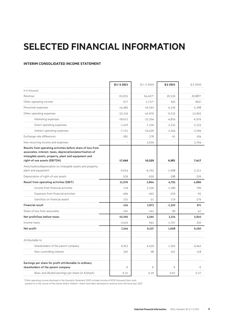# **SELECTED FINANCIAL INFORMATION**

#### **INTERIM CONSOLIDATED INCOME STATEMENT**

|                                                                                                                                                                                                                  | Q1-3 2021 | $Q$ 1-3 2020 | Q3 2021        | Q3 2020   |
|------------------------------------------------------------------------------------------------------------------------------------------------------------------------------------------------------------------|-----------|--------------|----------------|-----------|
|                                                                                                                                                                                                                  |           |              |                |           |
| In $\epsilon$ thousand                                                                                                                                                                                           |           |              |                |           |
| Revenue                                                                                                                                                                                                          | 65,053    | 64,4571      | 20,536         | 20,8871   |
| Other operating income                                                                                                                                                                                           | 677       | 1,7371       | 305            | 9631      |
| Personnel expenses                                                                                                                                                                                               | $-14,485$ | $-16,593$    | $-4,236$       | $-5,398$  |
| Other operating expenses                                                                                                                                                                                         | $-33,216$ | -42,976      | $-9,533$       | $-12,902$ |
| Marketing expenses                                                                                                                                                                                               | $-18,615$ | -25,304      | -4,854         | $-6,976$  |
| Direct operating expenses                                                                                                                                                                                        | $-7,470$  | $-7,236$     | $-2,335$       | $-2,333$  |
| Indirect operating expenses                                                                                                                                                                                      | $-7,131$  | $-10,436$    | $-2,344$       | $-3,594$  |
| Exchange rate differences                                                                                                                                                                                        | $-381$    | 278          | $-91$          | 104       |
| Non-recurring income and expenses                                                                                                                                                                                |           | 3,656        | $\overline{a}$ | 3,764     |
| Results from operating activities before share of loss from<br>associates, interest, taxes, depreciation/amortisation of<br>intangible assets, property, plant and equipment and<br>right-of-use assets (EBITDA) | 17,649    | 10,559       | 6,981          | 7,417     |
| Amortisation/depreciation on intangible assets and property,                                                                                                                                                     |           |              |                |           |
| plant and equipment                                                                                                                                                                                              | $-6,014$  | $-6,765$     | $-1,998$       | $-2,211$  |
| Depreciation of right-of-use assets                                                                                                                                                                              | $-559$    | $-930$       | $-188$         | $-320$    |
| Result from operating activities (EBIT)                                                                                                                                                                          | 11,076    | 2,864        | 4,795          | 4,886     |
| Income from financial activities                                                                                                                                                                                 | 139       | 3,326        | $-1,180$       | 790       |
| Expenses from financial activities                                                                                                                                                                               | $-494$    | $-402$       | $-259$         | $-95$     |
| Gain/loss on financial assets                                                                                                                                                                                    | 231       | -51          | 119            | 276       |
| <b>Financial result</b>                                                                                                                                                                                          | $-124$    | 2,873        | $-1,320$       | 971       |
| Share of loss from associates                                                                                                                                                                                    | $-191$    | $-142$       | -99            | -47       |
| Net profit/loss before taxes                                                                                                                                                                                     | 10,760    | 5,595        | 3,374          | 5,810     |
| Income taxes                                                                                                                                                                                                     | $-3,416$  | 942          | $-1,707$       | 350       |
| Net profit                                                                                                                                                                                                       | 7,344     | 6,537        | 1,668          | 6,160     |
| Attributable to:                                                                                                                                                                                                 |           |              |                |           |
| Shareholders of the parent company                                                                                                                                                                               | 6,953     | 6,439        | 1,502          | 6,042     |
| Non-controlling interest                                                                                                                                                                                         | 392       | 98           | 167            | 118       |
| Earnings per share for profit attributable to ordinary<br>shareholders of the parent company                                                                                                                     | €         | €            | €              | €         |
| Basic and diluted earnings per share (in $\epsilon$ /share)                                                                                                                                                      | 0.31      | 0.29         | 0.07           | 0.27      |

*¹ Other operating income disclosed in the Quarterly Statement 2020 includes income of €592 thousand from costs* 

*passed on in the course of the charity lottery 'freiheit+' which have been disclosed as revenue since the fiscal year 2021.*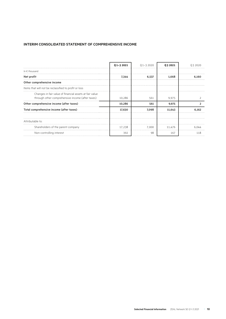#### **INTERIM CONSOLIDATED STATEMENT OF COMPREHENSIVE INCOME**

|                                                                                                             | $01 - 32021$ | $01 - 32020$ | 03 2021 | 032020 |
|-------------------------------------------------------------------------------------------------------------|--------------|--------------|---------|--------|
| In $\epsilon$ thousand                                                                                      |              |              |         |        |
| Net profit                                                                                                  | 7.344        | 6,537        | 1.668   | 6.160  |
| Other comprehensive income                                                                                  |              |              |         |        |
| Items that will not be reclassified to profit or loss                                                       |              |              |         |        |
| Changes in fair value of financial assets at fair value<br>through other comprehensive income (after taxes) | 10,286       | 561          | 9,975   |        |
| Other comprehensive income (after taxes)                                                                    | 10,286       | 561          | 9,975   |        |
| Total comprehensive income (after taxes)                                                                    | 17,630       | 7.098        | 11,643  | 6.162  |
| Attributable to:                                                                                            |              |              |         |        |
| Shareholders of the parent company                                                                          | 17.238       | 7.000        | 11.476  | 6.044  |
| Non-controlling interest                                                                                    | 392          | 98           | 167     | 118    |
|                                                                                                             |              |              |         |        |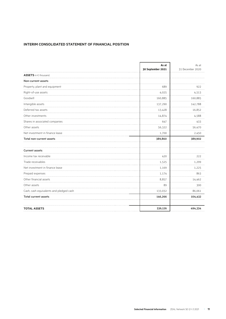#### **INTERIM CONSOLIDATED STATEMENT OF FINANCIAL POSITION**

|                                         | As at<br>30 September 2021 | As at<br>31 December 2020 |
|-----------------------------------------|----------------------------|---------------------------|
| ASSETS in € thousand.                   |                            |                           |
| Non-current assets                      |                            |                           |
| Property, plant and equipment           | 689                        | 922                       |
| Right-of-use assets                     | 4,025                      | 4,513                     |
| Goodwill                                | 160,885                    | 160,885                   |
| Intangible assets                       | 137,290                    | 142,788                   |
| Deferred tax assets                     | 13,428                     | 16,852                    |
| Other investments                       | 14,874                     | 4,588                     |
| Shares in associated companies          | 647                        | 433                       |
| Other assets                            | 56,322                     | 56,470                    |
| Net investment in finance lease         | 1,700                      | 2,450                     |
| Total non-current assets                | 389,860                    | 389,902                   |
| <b>Current assets</b>                   |                            |                           |
| Income tax receivable                   | 420                        | 222                       |
| Trade receivables                       | 1,525                      | 1,299                     |
| Net investment in finance lease         | 1,169                      | 1,225                     |
| Prepaid expenses                        | 1,174                      | 863                       |
| Other financial assets                  | 8,857                      | 14,462                    |
| Other assets                            | 89                         | 300                       |
| Cash, cash equivalents and pledged cash | 133,032                    | 86,061                    |
| <b>Total current assets</b>             | 146,266                    | 104,432                   |
| <b>TOTAL ASSETS</b>                     | 536,126                    | 494,334                   |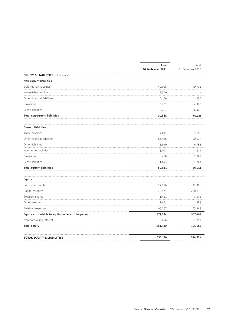|                                                     | As at<br>30 September 2021 | As at<br>31 December 2020 |
|-----------------------------------------------------|----------------------------|---------------------------|
| <b>EQUITY &amp; LIABILITIES</b> in € thousand       |                            |                           |
| Non-current liabilities                             |                            |                           |
| Deferred tax liabilities                            | 49,028                     | 50,701                    |
| Interest-bearing loans                              | 8,700                      |                           |
| Other financial liabilities                         | 4,179                      | 1,270                     |
| Provisions                                          | 3,751                      | 4,345                     |
| Lease liabilities                                   | 5,227                      | 6,405                     |
| <b>Total non-current liabilities</b>                | 70,885                     | 62,721                    |
| <b>Current liabilities</b>                          |                            |                           |
| Trade payables                                      | 2,611                      | 3,608                     |
| Other financial liabilities                         | 66,986                     | 20,175                    |
| Other liabilities                                   | 5,910                      | 6,753                     |
| Income tax liabilities                              | 3,042                      | 1,511                     |
| Provisions                                          | 468                        | 2,264                     |
| .<br>Lease liabilities                              | 1,843                      | 1,741                     |
| <b>Total current liabilities</b>                    | 80,861                     | 36,051                    |
| Equity                                              |                            |                           |
| Subscribed capital                                  | 22,396                     | 22,396                    |
| Capital reserves                                    | 279,971                    | 280,132                   |
| Treasury shares                                     | $-1,411$                   | $-1,591$                  |
| Other reserves                                      | 11,671                     | 1,385                     |
| Retained earnings                                   | 65,257                     | 85,343                    |
| Equity attributable to equity holders of the parent | 377,884                    | 387,665                   |
| Non-controlling interest                            | 6,496                      | 7,897                     |
| <b>Total equity</b>                                 | 384,380                    | 395,562                   |
| <b>TOTAL EQUITY &amp; LIABILITIES</b>               | 536,126                    | 494,334                   |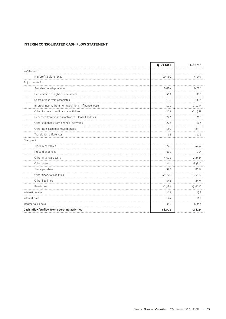#### **INTERIM CONSOLIDATED CASH FLOW STATEMENT**

|                                                        | Q1-3 2021 | $Q$ 1-3 2020 |
|--------------------------------------------------------|-----------|--------------|
| In $\epsilon$ thousand                                 |           |              |
| Net profit before taxes                                | 10,760    | 5,595        |
| Adjustments for                                        |           |              |
| Amortisation/depreciation                              | 6,014     | 6,795        |
| Depreciation of right-of-use assets                    | 559       | 930          |
| Share of loss from associates                          | 191       | 1421         |
| Interest income from net investment in finance lease   | $-101$    | $-1,1741$    |
| Other income from financial activities                 | $-269$    | $-2,1521$    |
| Expenses from financial activities - lease liabilities | 222       | 295          |
| Other expenses from financial activities               | 272       | 107          |
| Other non-cash income/expenses                         | $-140$    | $-891.2$     |
| <b>Translation differences</b>                         | $-68$     | $-112$       |
| Changes in                                             |           |              |
| Trade receivables                                      | $-226$    | $-4243$      |
| Prepaid expenses                                       | $-311$    | $-193$       |
| Other financial assets                                 | 5,605     | 2,2483       |
| Other assets                                           | 211       | $-8482.3$    |
| Trade payables                                         | $-997$    | $-8113$      |
| Other financial liabilities                            | 49,720    | $-3,5983$    |
| Other liabilities                                      | $-842$    | 2473         |
| Provisions                                             | $-2,389$  | $-3,6013$    |
| Interest received                                      | 269       | 139          |
| Interest paid                                          | $-124$    | $-107$       |
| Income taxes paid                                      | $-351$    | $-6,357$     |
| Cash inflow/outflow from operating activities          | 68,005    | $-2,8232$    |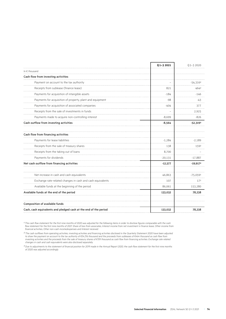|                                                                  | Q1-3 2021 | $Q$ 1-3 2020    |
|------------------------------------------------------------------|-----------|-----------------|
| In $\epsilon$ thousand                                           |           |                 |
| Cash flow from investing activities                              |           |                 |
| Payment on account to the tax authority                          |           | $-54,3162$      |
| Receipts from sublease (finance lease)                           | 821       | 4642            |
| Payments for acquisition of intangible assets                    | $-184$    | $-146$          |
| Payments for acquisition of property, plant and equipment        | -98       | -43             |
| Payments for acquisition of associated companies                 | $-404$    | 377             |
| Receipts from the sale of investments in funds                   |           | 2,925           |
| Payments made to acquire non-controlling interest                | $-8,699$  | $-826$          |
| Cash outflow from investing activities                           | $-8,564$  | $-52,3192$      |
| Cash flow from financing activities                              |           |                 |
| Payments for lease liabilities                                   | $-1,284$  | $-2.189$        |
| Receipts from the sale of treasury shares                        | 138       | 1592            |
| Receipts from the taking out of loans                            | 8,700     |                 |
| Payments for dividends                                           | $-20,131$ | $-17,887$       |
| Net cash outflow from financing activities                       | $-12,577$ | $-19,9172$      |
| Net increase in cash and cash equivalents                        | 46,863    | $-75,0591$      |
| Exchange rate-related changes in cash and cash equivalents       | 107       | 17 <sup>1</sup> |
| Available funds at the beginning of the period                   | 86,061    | 153,280         |
| Available funds at the end of the period                         | 133,032   | 78,238          |
| Composition of available funds                                   |           |                 |
| Cash, cash equivalents and pledged cash at the end of the period | 133,032   | 78.238          |

*¹ The cash flow statement for the first nine months of 2020 was adjusted for the following items in order to disclose figures comparable with the cash flow statement for the first nine months of 2021: Share of loss from associates, Interest income from net investment in finance lease, Other income from financial activities, Other non-cash income/expenses and Interest received.* 

 $^2$  The cash outflows from operating activities, investing activities and financing activities disclosed in the Quarterly Statement 2020 have been adjusted<br>to show the payment on account to the tax authority of €54,316 t *investing activities and the proceeds from the sale of treasury shares of €159 thousand as cash flow from financing activities. Exchange rate-related changes in cash and cash equivalents were also disclosed separately.*

*³ Due to adjustments to the statement of financial position for 2019 made in the Annual Report 2020, the cash flow statement for the first nine months of 2020 was adjusted accordingly.*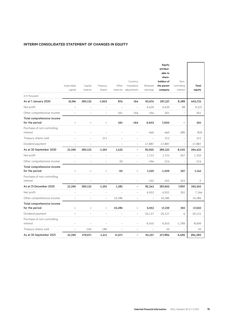#### **INTERIM CONSOLIDATED STATEMENT OF CHANGES IN EQUITY**

|                                              | Subscribed<br>capital | Capital<br>reserve | Treasury<br>shares | Other<br>reserves | Currency<br>translation<br>adjustments | Retained<br>earnings | Equity<br>attribut-<br>able to<br>share-<br>holders of<br>the parent<br>company | Non-<br>controlling<br>interest | <b>Total</b><br>equity |
|----------------------------------------------|-----------------------|--------------------|--------------------|-------------------|----------------------------------------|----------------------|---------------------------------------------------------------------------------|---------------------------------|------------------------|
| in € thousand                                |                       |                    |                    |                   |                                        |                      |                                                                                 |                                 |                        |
| As at 1 January 2020                         | 22,396                | 280,132            | $-1,903$           | 874               | 164                                    | 95,674               | 397,337                                                                         | 8,388                           | 405,725                |
| Net profit                                   |                       |                    |                    |                   |                                        | 6,439                | 6,439                                                                           | 98                              | 6,537                  |
| Other comprehensive income                   |                       |                    |                    | 561               | $-164$                                 | 164                  | 561                                                                             | $\overline{\phantom{a}}$        | 561                    |
| Total comprehensive income<br>for the period |                       |                    |                    | 561               | $-164$                                 | 6,603                | 7,000                                                                           |                                 | 561                    |
| Purchase of non-controlling<br>interest      |                       |                    |                    |                   |                                        | $-440$               | $-440$                                                                          | $-386$                          | $-826$                 |
| Treasury shares sold                         |                       |                    | 312                |                   |                                        |                      | 312                                                                             |                                 | 312                    |
| Dividend payment                             |                       |                    |                    |                   |                                        | $-17,887$            | $-17,887$                                                                       | ÷                               | $-17,887$              |
| As at 30 September 2020                      | 22,396                | 280,125            | $-1,591$           | 1,435             |                                        | 83,950               | 386,322                                                                         | 8,100                           | 394,422                |
| Net profit                                   |                       |                    |                    |                   |                                        | 1,723                | 1,723                                                                           | -367                            | 1,356                  |
| Other comprehensive income                   |                       |                    |                    | $-50$             |                                        | $-164$               | $-214$                                                                          | Ĭ.                              | $-214$                 |
| Total comprehensive income<br>for the period |                       |                    |                    | -50               |                                        | 1,559                | $-1,509$                                                                        | 367                             | 1,142                  |
| Purchase of non-controlling<br>interest      |                       |                    |                    |                   |                                        | $-165$               | $-165$                                                                          | 163                             | $-2$                   |
| As at 31 December 2020                       | 22,396                | 280,132            | $-1,591$           | 1,385             |                                        | 85,343               | 387,665                                                                         | 7,897                           | 395,562                |
| Net profit                                   |                       |                    |                    |                   |                                        | 6,953                | 6,953                                                                           | 392                             | 7,344                  |
| Other comprehensive income                   |                       |                    |                    | 10,286            |                                        |                      | 10,286                                                                          |                                 | 10,286                 |
| Total comprehensive income<br>for the period |                       |                    |                    | 10,286            |                                        | 6,953                | 17,239                                                                          | 392                             | 17,630                 |
| Dividend payment                             |                       |                    |                    |                   |                                        | -20,127              | -20,127                                                                         | -4                              | $-20,131$              |
| Purchase of non-controlling<br>interest      |                       |                    |                    |                   |                                        | $-6,910$             | $-6,910$                                                                        | $-1,789$                        | $-8,699$               |
| Treasury shares sold                         |                       | $-160$             | $-180$             |                   |                                        |                      | 20                                                                              |                                 | 20                     |
| As at 30 September 2021                      | 22,396                | 279,971            | $-1,411$           | 11,671            |                                        | 65,257               | 377,884                                                                         | 6,496                           | 384,380                |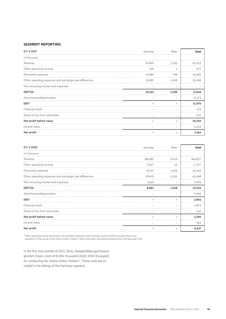#### **SEGMENT REPORTING**

| Q1-3 2021                                              | Germany   | Other    | <b>Total</b> |
|--------------------------------------------------------|-----------|----------|--------------|
| in €thousand                                           |           |          |              |
| Revenue                                                | 61.460    | 3.593    | 65,053       |
| Other operating income                                 | 676       |          | 677          |
| Personnel expenses                                     | $-13,686$ | -799     | $-14,485$    |
| Other operating expenses and exchange rate differences | $-31,897$ | $-1,699$ | $-33,596$    |
| Non-recurring income and expenses                      |           |          |              |
| <b>EBITDA</b>                                          | 16,553    | 1,096    | 17,649       |
| Amortisation/depreciation                              |           |          | $-6,573$     |
| <b>EBIT</b>                                            |           |          | 11,076       |
| Financial result                                       |           |          | $-124$       |
| Share of loss from associates                          |           |          | $-191$       |
| Net profit before taxes                                |           |          | 10,760       |
| Income taxes                                           |           |          | $-3,416$     |
| Net profit                                             |           |          | 7,344        |

| Q1-3 2020                                              | Germany   | Other    | Total     |
|--------------------------------------------------------|-----------|----------|-----------|
| in $\epsilon$ thousand                                 |           |          |           |
| Revenue                                                | 58,4381   | 6,019    | 64,4571   |
| Other operating income                                 | 1,7471    | $-10$    | 1.7371    |
| Personnel expenses                                     | $-15,517$ | $-1,076$ | $-16,593$ |
| Other operating expenses and exchange rate differences | $-39,433$ | $-3.265$ | $-42.698$ |
| Non-recurring income and expenses                      | 3,656     |          | 3,656     |
| <b>EBITDA</b>                                          | 8,891     | 1,668    | 10,559    |
| Amortisation/depreciation                              |           |          | $-7,695$  |
| <b>EBIT</b>                                            |           |          | 2,864     |
| Financial result                                       |           |          | 2.873     |
| Share of loss from associates                          |           |          | $-142$    |
| Net profit before taxes                                |           |          | 5,595     |
| Income taxes                                           |           |          | 942       |
| Net profit                                             |           |          | 6,537     |

*¹ Other operating income disclosed in the Quarterly Statement 2020 includes income of €592 thousand from costs* 

*passed on in the course of the charity lottery 'freiheit+' which have been disclosed as revenue since the fiscal year 2021.* 

In the first nine months of 2021, ZEAL charged BildungsChancen gGmbH, Essen, costs of €1,094 thousand (2020: €592 thousand) for conducting the charity lottery 'freiheit+'. These costs are included in the billings of the Germany segment.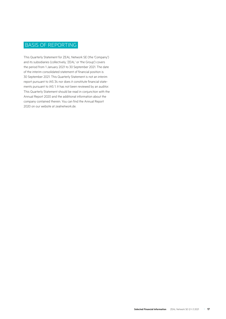### BASIS OF REPORTING

This Quarterly Statement for ZEAL Network SE (the 'Company') and its subsidiaries (collectively, 'ZEAL' or 'the Group') covers the period from 1 January 2021 to 30 September 2021. The date of the interim consolidated statement of financial position is 30 September 2021. This Quarterly Statement is not an interim report pursuant to IAS 34 nor does it constitute financial statements pursuant to IAS 1. It has not been reviewed by an auditor. This Quarterly Statement should be read in conjunction with the Annual Report 2020 and the additional information about the company contained therein. You can find the Annual Report 2020 on our website at zealnetwork.de.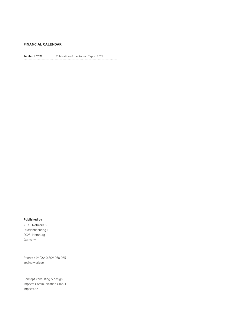#### **FINANCIAL CALENDAR**

 $\ddot{\phantom{a}}$ 

24 March 2022 Publication of the Annual Report 2021

#### **Published by**

ZEAL Network SE Straßenbahnring 11 20251 Hamburg Germany

Phone: +49 (0)40 809 036 065 zealnetwork.de

Concept, consulting & design Impacct Communication GmbH impacct.de